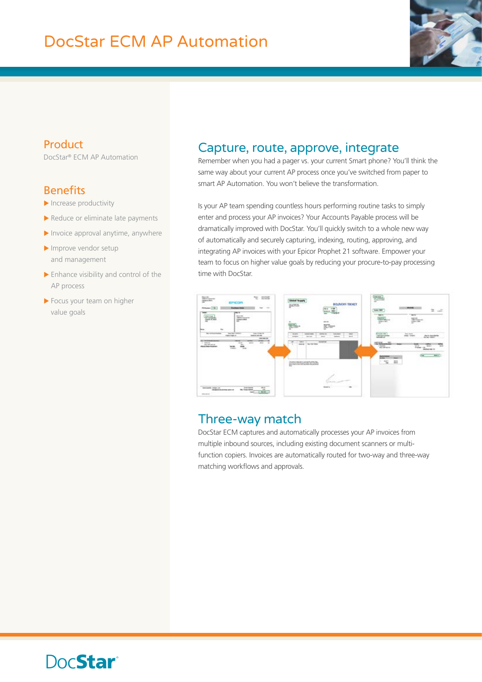

#### Product

DocStar® ECM AP Automation

#### Benefits

- $\blacktriangleright$  Increase productivity
- $\blacktriangleright$  Reduce or eliminate late payments
- $\blacktriangleright$  Invoice approval anytime, anywhere
- $\blacktriangleright$  Improve vendor setup and management
- $\blacktriangleright$  Enhance visibility and control of the AP process
- $\blacktriangleright$  Focus your team on higher value goals

#### Capture, route, approve, integrate

Remember when you had a pager vs. your current Smart phone? You'll think the same way about your current AP process once you've switched from paper to smart AP Automation. You won't believe the transformation.

Is your AP team spending countless hours performing routine tasks to simply enter and process your AP invoices? Your Accounts Payable process will be dramatically improved with DocStar. You'll quickly switch to a whole new way of automatically and securely capturing, indexing, routing, approving, and integrating AP invoices with your Epicor Prophet 21 software. Empower your team to focus on higher value goals by reducing your procure-to-pay processing time with DocStar.



### Three-way match

DocStar ECM captures and automatically processes your AP invoices from multiple inbound sources, including existing document scanners or multifunction copiers. Invoices are automatically routed for two-way and three-way matching workflows and approvals.

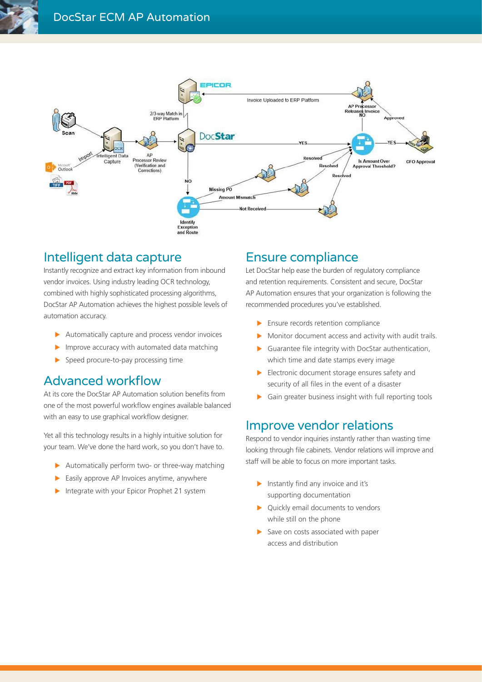

### Intelligent data capture

Instantly recognize and extract key information from inbound vendor invoices. Using industry leading OCR technology, combined with highly sophisticated processing algorithms, DocStar AP Automation achieves the highest possible levels of automation accuracy.

- $\blacktriangleright$  Automatically capture and process vendor invoices
- $\blacktriangleright$  Improve accuracy with automated data matching
- $\triangleright$  Speed procure-to-pay processing time

### Advanced workflow

At its core the DocStar AP Automation solution benefits from one of the most powerful workflow engines available balanced with an easy to use graphical workflow designer.

Yet all this technology results in a highly intuitive solution for your team. We've done the hard work, so you don't have to.

- $\blacktriangleright$  Automatically perform two- or three-way matching
- $\blacktriangleright$  Easily approve AP Invoices anytime, anywhere
- $\blacktriangleright$  Integrate with your Epicor Prophet 21 system

### Ensure compliance

Let DocStar help ease the burden of regulatory compliance and retention requirements. Consistent and secure, DocStar AP Automation ensures that your organization is following the recommended procedures you've established.

- $\blacktriangleright$  Ensure records retention compliance
- $\triangleright$  Monitor document access and activity with audit trails.
- $\blacktriangleright$  Guarantee file integrity with DocStar authentication, which time and date stamps every image
- $\blacktriangleright$  Electronic document storage ensures safety and security of all files in the event of a disaster
- $\triangleright$  Gain greater business insight with full reporting tools

### Improve vendor relations

Respond to vendor inquiries instantly rather than wasting time looking through file cabinets. Vendor relations will improve and staff will be able to focus on more important tasks.

- $\blacktriangleright$  Instantly find any invoice and it's supporting documentation
- $\blacktriangleright$  Quickly email documents to vendors while still on the phone
- $\blacktriangleright$  Save on costs associated with paper access and distribution